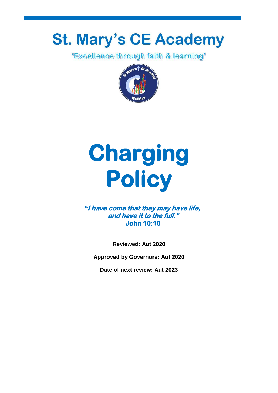# **St. Mary's CE Academy**<br>Excellence through faith & learning"



## **Charging Policy**

## *"***I have come that they may have life, and have it to the full." John 10:10**

**Reviewed: Aut 2020**

**Approved by Governors: Aut 2020**

**Date of next review: Aut 2023**